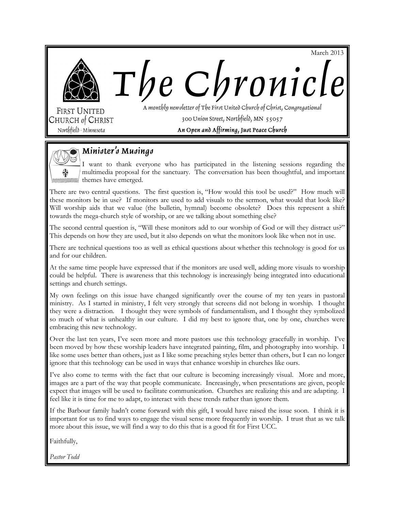



**FIRST UNITED** CHURCH of CHRIST

Northfield · Minnesota

A monthly newsletter of The First United Church of Christ, Congregational 300 Union Street, Northfield, MN 55057 An Open and Affirming, Just Peace Church

The Chronicle



## Minister's Musings

I want to thank everyone who has participated in the listening sessions regarding the multimedia proposal for the sanctuary. The conversation has been thoughtful, and important themes have emerged.

There are two central questions. The first question is, "How would this tool be used?" How much will these monitors be in use? If monitors are used to add visuals to the sermon, what would that look like? Will worship aids that we value (the bulletin, hymnal) become obsolete? Does this represent a shift towards the mega-church style of worship, or are we talking about something else?

The second central question is, "Will these monitors add to our worship of God or will they distract us?" This depends on how they are used, but it also depends on what the monitors look like when not in use.

There are technical questions too as well as ethical questions about whether this technology is good for us and for our children.

At the same time people have expressed that if the monitors are used well, adding more visuals to worship could be helpful. There is awareness that this technology is increasingly being integrated into educational settings and church settings.

My own feelings on this issue have changed significantly over the course of my ten years in pastoral ministry. As I started in ministry, I felt very strongly that screens did not belong in worship. I thought they were a distraction. I thought they were symbols of fundamentalism, and I thought they symbolized so much of what is unhealthy in our culture. I did my best to ignore that, one by one, churches were embracing this new technology.

Over the last ten years, I've seen more and more pastors use this technology gracefully in worship. I've been moved by how these worship leaders have integrated painting, film, and photography into worship. I like some uses better than others, just as I like some preaching styles better than others, but I can no longer ignore that this technology can be used in ways that enhance worship in churches like ours.

I've also come to terms with the fact that our culture is becoming increasingly visual. More and more, images are a part of the way that people communicate. Increasingly, when presentations are given, people expect that images will be used to facilitate communication. Churches are realizing this and are adapting. I feel like it is time for me to adapt, to interact with these trends rather than ignore them.

If the Barbour family hadn't come forward with this gift, I would have raised the issue soon. I think it is important for us to find ways to engage the visual sense more frequently in worship. I trust that as we talk more about this issue, we will find a way to do this that is a good fit for First UCC.

Faithfully,

*Pastor Todd*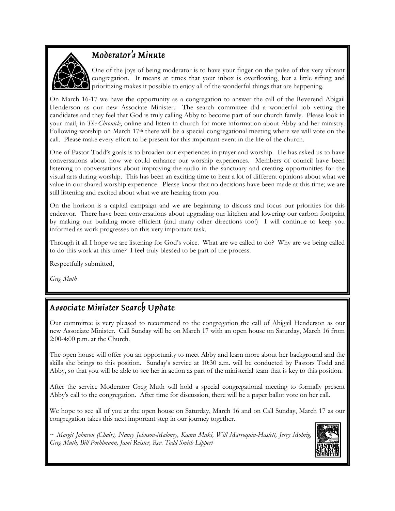

## Moderator's Minute

One of the joys of being moderator is to have your finger on the pulse of this very vibrant congregation. It means at times that your inbox is overflowing, but a little sifting and prioritizing makes it possible to enjoy all of the wonderful things that are happening.

On March 16-17 we have the opportunity as a congregation to answer the call of the Reverend Abigail Henderson as our new Associate Minister. The search committee did a wonderful job vetting the candidates and they feel that God is truly calling Abby to become part of our church family. Please look in your mail, in *The Chronicle*, online and listen in church for more information about Abby and her ministry. Following worship on March 17th there will be a special congregational meeting where we will vote on the call. Please make every effort to be present for this important event in the life of the church.

One of Pastor Todd's goals is to broaden our experiences in prayer and worship. He has asked us to have conversations about how we could enhance our worship experiences. Members of council have been listening to conversations about improving the audio in the sanctuary and creating opportunities for the visual arts during worship. This has been an exciting time to hear a lot of different opinions about what we value in our shared worship experience. Please know that no decisions have been made at this time; we are still listening and excited about what we are hearing from you.

On the horizon is a capital campaign and we are beginning to discuss and focus our priorities for this endeavor. There have been conversations about upgrading our kitchen and lowering our carbon footprint by making our building more efficient (and many other directions too!) I will continue to keep you informed as work progresses on this very important task.

Through it all I hope we are listening for God's voice. What are we called to do? Why are we being called to do this work at this time? I feel truly blessed to be part of the process.

Respectfully submitted,

*Greg Muth*

## Associate Minister Search Update

Our committee is very pleased to recommend to the congregation the call of Abigail Henderson as our new Associate Minister. Call Sunday will be on March 17 with an open house on Saturday, March 16 from 2:00-4:00 p.m. at the Church.

The open house will offer you an opportunity to meet Abby and learn more about her background and the skills she brings to this position. Sunday's service at 10:30 a.m. will be conducted by Pastors Todd and Abby, so that you will be able to see her in action as part of the ministerial team that is key to this position.

After the service Moderator Greg Muth will hold a special congregational meeting to formally present Abby's call to the congregation. After time for discussion, there will be a paper ballot vote on her call.

We hope to see all of you at the open house on Saturday, March 16 and on Call Sunday, March 17 as our congregation takes this next important step in our journey together.

*~ Margit Johnson (Chair), Nancy Johnson-Maloney, Kaara Maki, Will Marroquin-Haslett, Jerry Mohrig, Greg Muth, Bill Poehlmann, Jami Reister, Rev. Todd Smith Lippert*

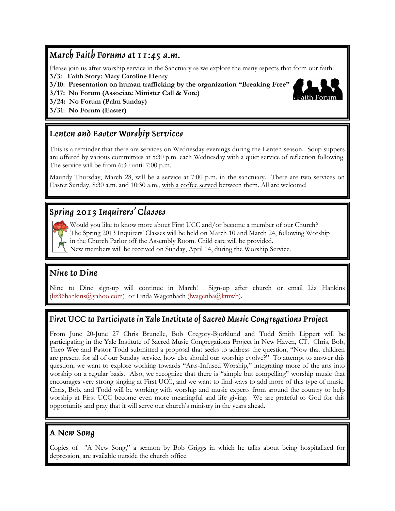### March Faith Forums at 11:45 a.m.

Please join us after worship service in the Sanctuary as we explore the many aspects that form our faith:

**3/3: Faith Story: Mary Caroline Henry**

**3/10: Presentation on human trafficking by the organization "Breaking Free"**

**3/17: No Forum (Associate Minister Call & Vote)**

**3/24: No Forum (Palm Sunday)**

**3/31: No Forum (Easter)**

## Lenten and Easter Worship Services

This is a reminder that there are services on Wednesday evenings during the Lenten season. Soup suppers are offered by various committees at 5:30 p.m. each Wednesday with a quiet service of reflection following. The service will be from 6:30 until 7:00 p.m.

Maundy Thursday, March 28, will be a service at 7:00 p.m. in the sanctuary. There are two services on Easter Sunday, 8:30 a.m. and 10:30 a.m., with a coffee served between them. All are welcome!

# Spring 2013 Inquirers' Classes

Would you like to know more about First UCC and/or become a member of our Church? The Spring 2013 Inquirers' Classes will be held on March 10 and March 24, following Worship in the Church Parlor off the Assembly Room. Child care will be provided.

New members will be received on Sunday, April 14, during the Worship Service.

### Nine to Dine

Nine to Dine sign-up will continue in March! Sign-up after church or email Liz Hankins [\(liz36hankins@yahoo.com\)](mailto:liz36hankins@yahoo.com) or Linda Wagenbach ([lwagenba@kmwb\)](mailto:lwagenba@kmwb).

### First UCC to Participate in Yale Institute of Sacred Music Congregations Project

From June 20-June 27 Chris Brunelle, Bob Gregory-Bjorklund and Todd Smith Lippert will be participating in the Yale Institute of Sacred Music Congregations Project in New Haven, CT. Chris, Bob, Theo Wee and Pastor Todd submitted a proposal that seeks to address the question, "Now that children are present for all of our Sunday service, how else should our worship evolve?" To attempt to answer this question, we want to explore working towards "Arts-Infused Worship," integrating more of the arts into worship on a regular basis. Also, we recognize that there is "simple but compelling" worship music that encourages very strong singing at First UCC, and we want to find ways to add more of this type of music. Chris, Bob, and Todd will be working with worship and music experts from around the country to help worship at First UCC become even more meaningful and life giving. We are grateful to God for this opportunity and pray that it will serve our church's ministry in the years ahead.

### A New Song

Copies of "A New Song," a sermon by Bob Griggs in which he talks about being hospitalized for depression, are available outside the church office.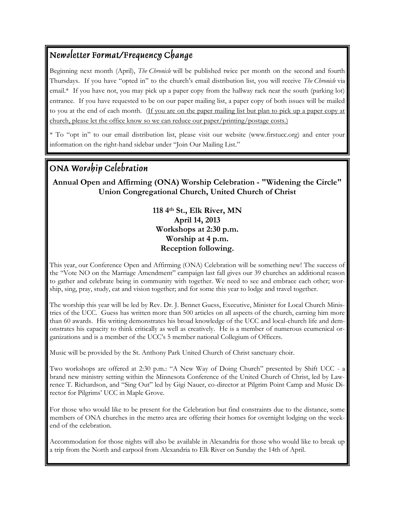## Newsletter Format/Frequency Change

Beginning next month (April), *The Chronicle* will be published twice per month on the second and fourth Thursdays. If you have "opted in" to the church's email distribution list, you will receive *The Chronicle* via email.\* If you have not, you may pick up a paper copy from the hallway rack near the south (parking lot) entrance. If you have requested to be on our paper mailing list, a paper copy of both issues will be mailed to you at the end of each month. (If you are on the paper mailing list but plan to pick up a paper copy at church, please let the office know so we can reduce our paper/printing/postage costs.)

\* To "opt in" to our email distribution list, please visit our website (www.firstucc.org) and enter your information on the right-hand sidebar under "Join Our Mailing List."

## ONA Worship Celebration

#### **Annual Open and Affirming (ONA) Worship Celebration - "Widening the Circle" Union Congregational Church, United Church of Christ**

**118 4th St., Elk River, MN April 14, 2013 Workshops at 2:30 p.m. Worship at 4 p.m. Reception following.**

This year, our Conference Open and Affirming (ONA) Celebration will be something new! The success of the "Vote NO on the Marriage Amendment" campaign last fall gives our 39 churches an additional reason to gather and celebrate being in community with together. We need to see and embrace each other; worship, sing, pray, study, eat and vision together; and for some this year to lodge and travel together.

The worship this year will be led by Rev. Dr. J. Bennet Guess, Executive, Minister for Local Church Ministries of the UCC. Guess has written more than 500 articles on all aspects of the church, earning him more than 60 awards. His writing demonstrates his broad knowledge of the UCC and local-church life and demonstrates his capacity to think critically as well as creatively. He is a member of numerous ecumenical organizations and is a member of the UCC's 5 member national Collegium of Officers.

Music will be provided by the St. Anthony Park United Church of Christ sanctuary choir.

Two workshops are offered at 2:30 p.m.: "A New Way of Doing Church" presented by Shift UCC - a brand new ministry setting within the Minnesota Conference of the United Church of Christ, led by Lawrence T. Richardson, and "Sing Out" led by Gigi Nauer, co-director at Pilgrim Point Camp and Music Director for Pilgrims' UCC in Maple Grove.

For those who would like to be present for the Celebration but find constraints due to the distance, some members of ONA churches in the metro area are offering their homes for overnight lodging on the weekend of the celebration.

Accommodation for those nights will also be available in Alexandria for those who would like to break up a trip from the North and carpool from Alexandria to Elk River on Sunday the 14th of April.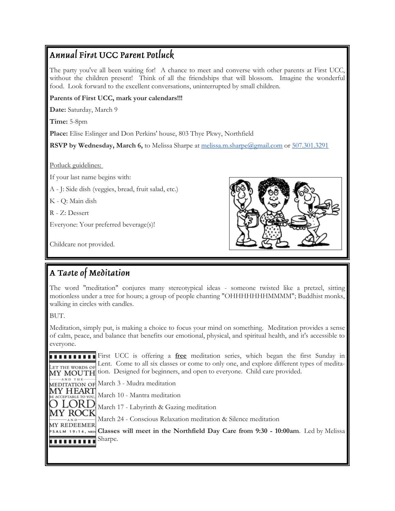## Annual First UCC Parent Potluck

The party you've all been waiting for! A chance to meet and converse with other parents at First UCC, without the children present! Think of all the friendships that will blossom. Imagine the wonderful food. Look forward to the excellent conversations, uninterrupted by small children.

#### **Parents of First UCC, mark your calendars!!!**

**Date:** Saturday, March 9

**Time:** 5-8pm

**Place:** Elise Eslinger and Don Perkins' house, 803 Thye Pkwy, Northfield

**RSVP by Wednesday, March 6,** to Melissa Sharpe at [melissa.m.sharpe@gmail.com](mailto:melissa.m.sharpe@gmail.com) or [507.301.3291](tel:507.301.3291)

Potluck guidelines:

If your last name begins with:

A - J: Side dish (veggies, bread, fruit salad, etc.)

K - Q: Main dish

R - Z: Dessert

Everyone: Your preferred beverage(s)!

Childcare not provided.



## A Taste of Meditation

The word "meditation" conjures many stereotypical ideas - someone twisted like a pretzel, sitting motionless under a tree for hours; a group of people chanting "OHHHHHHHMMMM"; Buddhist monks, walking in circles with candles.

BUT.

A N D

Meditation, simply put, is making a choice to focus your mind on something. Meditation provides a sense of calm, peace, and balance that benefits our emotional, physical, and spiritual health, and it's accessible to everyone.

**First UCC** is offering a **free** meditation series, which began the first Sunday in Lent. Come to all six classes or come to only one, and explore different types of medita-Let the words of MY MOUTH tion. Designed for beginners, and open to everyone. Child care provided.

 $-AND. THE$ MEDITATION OF March 3 - Mudra meditation

MY HEART March 10 - Mantra meditation ACCEPTABLE TO YOU,

) LORD March 17 - Labyrinth & Gazing meditation

MY ROC March 24 - Conscious Relaxation meditation & Silence meditation

**MY REDEEMER Classes will meet in the Northfield Day Care from 9:30 - 10:00am**. Led by Melissa **SALM 19:14, NRSV** Sharpe. **TELEFIEL**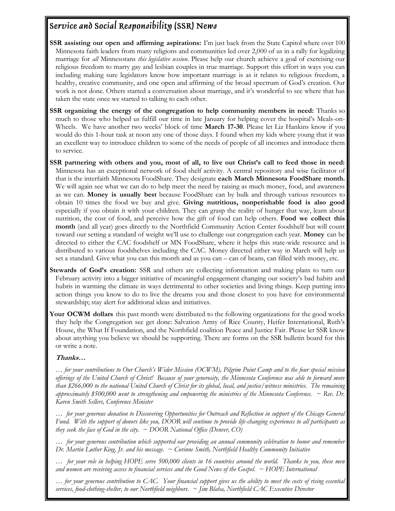## Service and Social Responsibility (SSR) News

- **SSR assisting our open and affirming aspirations:** I'm just back from the State Capitol where over 100 Minnesota faith leaders from many religions and communities led over 2,000 of us in a rally for legalizing marriage for *all* Minnesotans *this legislative session*. Please help our church achieve a goal of exercising our religious freedom to marry gay and lesbian couples in true marriage. Support this effort in ways you can including making sure legislators know how important marriage is as it relates to religious freedom, a healthy, creative community, and one open and affirming of the broad spectrum of God's creation. Our work is not done. Others started a conversation about marriage, and it's wonderful to see where that has taken the state once we started to talking to each other.
- **SSR** organizing the energy of the congregation to help community members in need: Thanks so much to those who helped us fulfill our time in late January for helping cover the hospital's Meals-on-Wheels. We have another two weeks' block of time **March 17-30**. Please let Liz Hankins know if you would do this 1-hour task at noon any one of those days. I found when my kids where young that it was an excellent way to introduce children to some of the needs of people of all incomes and introduce them to service.
- **SSR partnering with others and you, most of all, to live out Christ's call to feed those in need:**  Minnesota has an exceptional network of food shelf activity. A central repository and wise facilitator of that is the interfaith Minnesota FoodShare. They designate **each March Minnesota FoodShare month.** We will again see what we can do to help meet the need by raising as much money, food, and awareness as we can. **Money is usually best** because FoodShare can by bulk and through various resources to obtain 10 times the food we buy and give. **Giving nutritious, nonperishable food is also good**  especially if you obtain it with your children. They can grasp the reality of hunger that way, learn about nutrition, the cost of food, and perceive how the gift of food can help others. **Food we collect this month** (and all year) goes directly to the Northfield Community Action Center foodshelf but will count toward our setting a standard of weight we'll use to challenge our congregation each year. **Money** can be directed to either the CAC foodshelf or MN FoodShare, where it helps this state-wide resource and is distributed to various foodshelves including the CAC. Money directed either way in March will help us set a standard. Give what you can this month and as you can – can of beans, can filled with money, etc.
- **Stewards of God's creation:** SSR and others are collecting information and making plans to turn our February activity into a bigger initiative of meaningful engagement changing our society's bad habits and hubris in warming the climate in ways detrimental to other societies and living things. Keep putting into action things you know to do to live the dreams you and those closest to you have for environmental stewardship; stay alert for additional ideas and initiatives.
- **Your OCWM dollars** this past month were distributed to the following organizations for the good works they help the Congregation see get done: Salvation Army of Rice County, Heifer International, Ruth's House, the What If Foundation, and the Northfield coalition Peace and Justice Fair. Please let SSR know about anything you believe we should be supporting. There are forms on the SSR bulletin board for this or write a note.

#### **Thanks…**

*… for your contributions to Our Church's Wider Mission (OCWM), Pilgrim Point Camp and to the four special mission offerings of the United Church of Christ! Because of your generosity, the Minnesota Conference was able to forward more than \$266,000 to the national United Church of Christ for its global, local, and justice/witness ministries. The remaining approximately \$500,000 went to strengthening and empowering the ministries of the Minnesota Conference. ~ Rev. Dr. Karen Smith Sellers, Conference Minister*

*… for your generous donation to Discovering Opportunities for Outreach and Reflection in support of the Chicago General Fund. With the support of donors like you, DOOR will continue to provide life-changing experiences to all participants as they seek the face of God in the city. ~ DOOR National Office (Denver, CO)*

*… for your generous contribution which supported our providing an annual community celebration to honor and remember Dr. Martin Luther King, Jr. and his message. ~ Corinne Smith, Northfield Healthy Community Initiative*

*… for your role in helping HOPE serve 500,000 clients in 16 countries around the world. Thanks to you, these men and women are receiving access to financial services and the Good News of the Gospel. ~ HOPE International*

*… for your generous contribution to CAC. Your financial support gives us the ability to meet the costs of rising essential services, food-clothing-shelter, to our Northfield neighbors. ~ Jim Blaha, Northfield CAC Executive Director*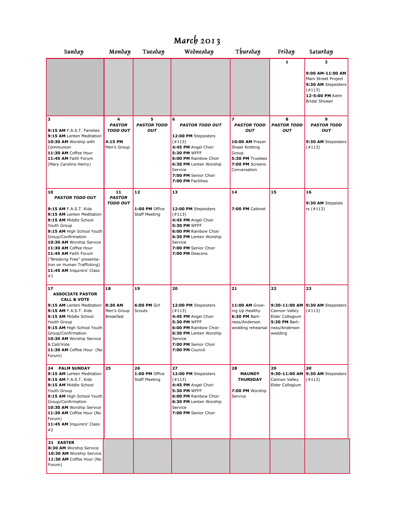| March $2013$                                                                                                                                                                                                                                                                                                                                                                          |                                                                 |                                              |                                                                                                                                                                                                                         |                                                                                                                                            |                                                                    |                                                                                                                          |
|---------------------------------------------------------------------------------------------------------------------------------------------------------------------------------------------------------------------------------------------------------------------------------------------------------------------------------------------------------------------------------------|-----------------------------------------------------------------|----------------------------------------------|-------------------------------------------------------------------------------------------------------------------------------------------------------------------------------------------------------------------------|--------------------------------------------------------------------------------------------------------------------------------------------|--------------------------------------------------------------------|--------------------------------------------------------------------------------------------------------------------------|
| Sunday                                                                                                                                                                                                                                                                                                                                                                                | Monday                                                          | Тиелдау                                      | Wednesday                                                                                                                                                                                                               | Thuroday                                                                                                                                   | Friday                                                             | Saturday                                                                                                                 |
|                                                                                                                                                                                                                                                                                                                                                                                       |                                                                 |                                              |                                                                                                                                                                                                                         |                                                                                                                                            | 1                                                                  | 2<br>9:00 AM-11:00 AM<br>Main Street Project<br>9:30 AM Stepsisters<br>(#113)<br>12-5:00 PM Kelm<br><b>Bridal Shower</b> |
| з<br>9:15 AM F.A.S.T. Families<br>9:15 AM Lenten Meditation<br>10:30 AM Worship with<br>Communion<br>11:30 AM Coffee Hour<br>11:45 AM Faith Forum<br>(Mary Caroline Henry)                                                                                                                                                                                                            | 4<br><b>PASTOR</b><br><b>TODD OUT</b><br>4:15 PM<br>Men's Group | 5<br><b>PASTOR TODD</b><br><b>OUT</b>        | 6<br><b>PASTOR TODD OUT</b><br>12:00 PM Stepsisters<br>(#113)<br>4:45 PM Angel Choir<br><b>5:30 PM WFFF</b><br>6:00 PM Rainbow Choir<br>6:30 PM Lenten Worship<br>Service<br>7:00 PM Senior Choir<br>7:00 PM Facilities | 7<br><b>PASTOR TODD</b><br><b>OUT</b><br>10:00 AM Prayer<br>Shawl Knitting<br>Group<br>5:30 PM Trustees<br>7:00 PM Screens<br>Conversation | 8<br><b>PASTOR TODD</b><br><b>OUT</b>                              | 9<br><b>PASTOR TODD</b><br>OUT<br>9:30 AM Stepsisters<br>(#113)                                                          |
| 10<br><b>PASTOR TODD OUT</b><br>9:15 AM F.A.S.T. Kids<br>9:15 AM Lenten Meditation<br>9:15 AM Middle School<br>Youth Group<br>9:15 AM High School Youth<br>Group/Confirmation<br>10:30 AM Worship Service<br>11:30 AM Coffee Hour<br>11:45 AM Faith Forum<br>("Breaking Free" presenta-<br>tion on Human Trafficking)<br>11:45 AM Inquirers' Class<br>#1                              | 11<br><b>PASTOR</b><br><b>TODD OUT</b>                          | 12<br>1:00 PM Office<br><b>Staff Meeting</b> | 13<br>12:00 PM Stepsisters<br>(#113)<br>4:45 PM Angel Choir<br><b>5:30 PM WFFF</b><br>6:00 PM Rainbow Choir<br>6:30 PM Lenten Worship<br>Service<br>7:00 PM Senior Choir<br>7:00 PM Deacons                             | 14<br>7:00 PM Cabinet                                                                                                                      | 15                                                                 | 16<br>9:30 AM Stepsiste<br>rs $(\#113)$                                                                                  |
| 17<br><b>ASSOCIATE PASTOR</b><br><b>CALL &amp; VOTE</b><br>9:15 AM Lenten Meditation<br>9:15 AM F.A.S.T. Kids<br>9:15 AM Middle School<br>Youth Group<br>9:15 AM High School Youth<br>Group/Confirmation<br>10:30 AM Worship Service<br>& Call/Vote<br>11:30 AM Coffee Hour (No<br>Forum)                                                                                             | 18<br>8:30 AM<br>Men's Group<br><b>Breakfast</b>                | 19<br>6:00 PM Girl<br>Scouts                 | 20<br>12:00 PM Stepsisters<br>(4113)<br>4:45 PM Angel Choir<br><b>5:30 PM WFFF</b><br>6:00 PM Rainbow Choir<br>6:30 PM Lenten Worship<br>Service<br>7:00 PM Senior Choir<br>7:00 PM Council                             | 21<br>11:00 AM Grow-<br>ing Up Healthy<br>6:30 PM Bart-<br>ness/Anderson<br>wedding rehearsal ness/Anderson                                | 22<br>Cannon Valley<br>Elder Collegium<br>5:30 PM Bart-<br>wedding | 23<br>9:30-11:00 AM 9:30 AM Stepsisters<br>(#113)                                                                        |
| <b>24 PALM SUNDAY</b><br>9:15 AM Lenten Meditation<br>9:15 AM F.A.S.T. Kids<br>9:15 AM Middle School<br>Youth Group<br>9:15 AM High School Youth<br>Group/Confirmation<br>10:30 AM Worship Service<br>11:30 AM Coffee Hour (No<br>Forum)<br>11:45 AM Inquirers' Class<br>#2<br>31 EASTER<br>8:30 AM Worship Service<br>10:30 AM Worship Service<br>11:30 AM Coffee Hour (No<br>Forum) | 25                                                              | 26<br>1:00 PM Office<br><b>Staff Meeting</b> | 27<br>12:00 PM Stepsisters<br>(#113)<br>4:45 PM Angel Choir<br>5:30 PM WFFF<br>6:00 PM Rainbow Choir<br>6:30 PM Lenten Worship<br>Service<br>7:00 PM Senior Choir                                                       | 28<br><b>MAUNDY</b><br><b>THURSDAY</b><br>7:00 PM Worship<br>Service                                                                       | 29<br>9:30-11:00 AM<br>Cannon Valley<br>Elder Collegium            | 30<br>9:30 AM Stepsisters<br>(#113)                                                                                      |